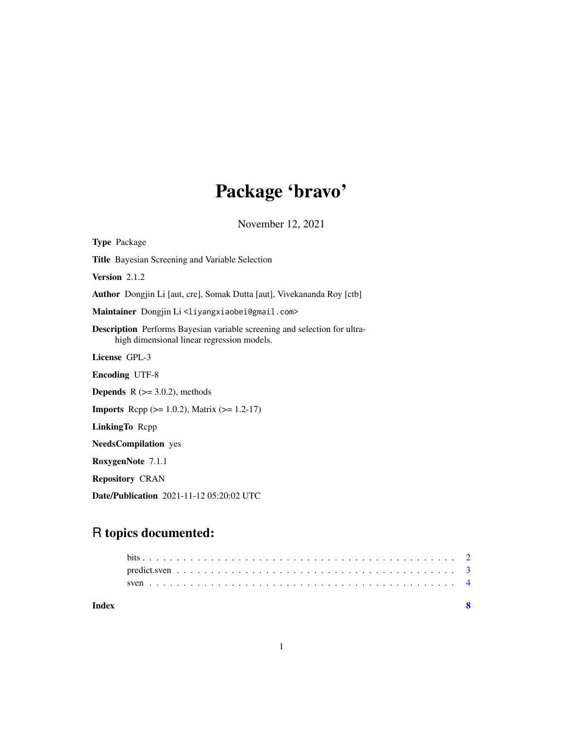## Package 'bravo'

November 12, 2021

Type Package Title Bayesian Screening and Variable Selection Version 2.1.2 Author Dongjin Li [aut, cre], Somak Dutta [aut], Vivekananda Roy [ctb] Maintainer Dongjin Li<liyangxiaobei@gmail.com> Description Performs Bayesian variable screening and selection for ultrahigh dimensional linear regression models. License GPL-3 Encoding UTF-8 **Depends**  $R$  ( $>= 3.0.2$ ), methods **Imports** Rcpp ( $>= 1.0.2$ ), Matrix ( $>= 1.2-17$ ) LinkingTo Rcpp NeedsCompilation yes RoxygenNote 7.1.1 Repository CRAN Date/Publication 2021-11-12 05:20:02 UTC

### R topics documented:

| Index |  |  |  |  |  |  |  |  |  |  |  |  |  |  |  |  |  |  |  |
|-------|--|--|--|--|--|--|--|--|--|--|--|--|--|--|--|--|--|--|--|
|       |  |  |  |  |  |  |  |  |  |  |  |  |  |  |  |  |  |  |  |
|       |  |  |  |  |  |  |  |  |  |  |  |  |  |  |  |  |  |  |  |
|       |  |  |  |  |  |  |  |  |  |  |  |  |  |  |  |  |  |  |  |

1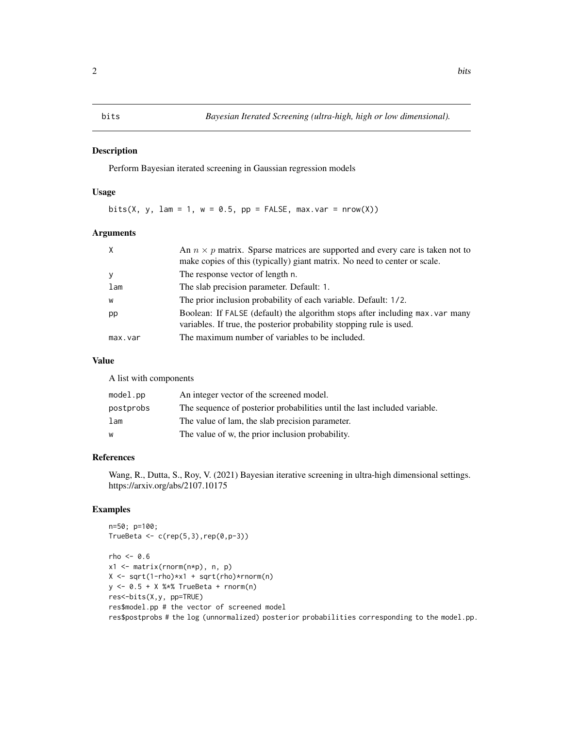#### <span id="page-1-0"></span>Description

Perform Bayesian iterated screening in Gaussian regression models

#### Usage

bits(X, y, lam = 1,  $w = 0.5$ ,  $pp = FALSE$ , max.var = nrow(X))

#### Arguments

| X       | An $n \times p$ matrix. Sparse matrices are supported and every care is taken not to<br>make copies of this (typically) giant matrix. No need to center or scale. |
|---------|-------------------------------------------------------------------------------------------------------------------------------------------------------------------|
| y       | The response vector of length n.                                                                                                                                  |
| lam     | The slab precision parameter. Default: 1.                                                                                                                         |
| W       | The prior inclusion probability of each variable. Default: 1/2.                                                                                                   |
| pp      | Boolean: If FALSE (default) the algorithm stops after including max. var many<br>variables. If true, the posterior probability stopping rule is used.             |
| max.var | The maximum number of variables to be included.                                                                                                                   |

#### Value

A list with components

| $model$ .pp | An integer vector of the screened model.                                  |
|-------------|---------------------------------------------------------------------------|
| postprobs   | The sequence of posterior probabilities until the last included variable. |
| lam         | The value of lam, the slab precision parameter.                           |
| W           | The value of w, the prior inclusion probability.                          |

#### References

Wang, R., Dutta, S., Roy, V. (2021) Bayesian iterative screening in ultra-high dimensional settings. https://arxiv.org/abs/2107.10175

#### Examples

n=50; p=100; TrueBeta  $\leftarrow c(rep(5,3),rep(0,p-3))$ 

 $rho < -0.6$ x1 <- matrix(rnorm(n\*p), n, p) X <- sqrt(1-rho)\*x1 + sqrt(rho)\*rnorm(n) y <- 0.5 + X %\*% TrueBeta + rnorm(n) res<-bits(X,y, pp=TRUE) res\$model.pp # the vector of screened model res\$postprobs # the log (unnormalized) posterior probabilities corresponding to the model.pp.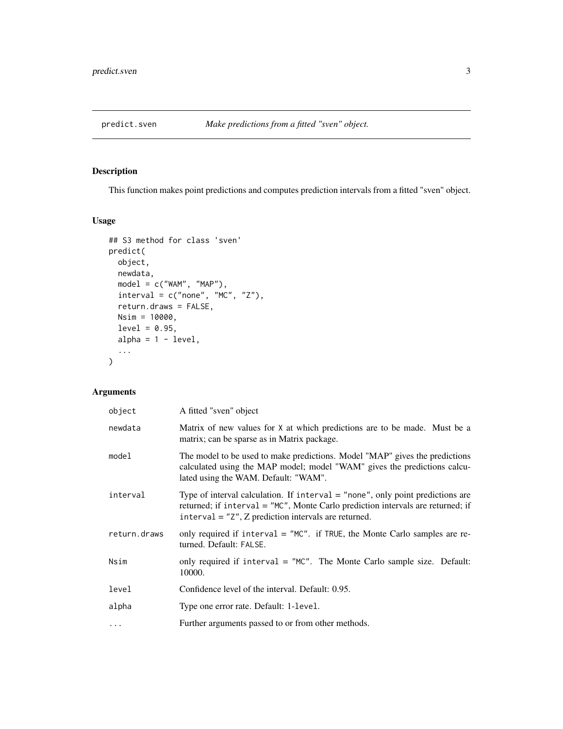<span id="page-2-0"></span>

#### Description

This function makes point predictions and computes prediction intervals from a fitted "sven" object.

#### Usage

```
## S3 method for class 'sven'
predict(
 object,
 newdata,
 model = c("WAM", "MAP"),
 interval = c("none", "MC", "Z"),return.draws = FALSE,
 Nsim = 10000,
 level = 0.95,alpha = 1 - level,
  ...
\mathcal{L}
```
#### Arguments

| object       | A fitted "sven" object                                                                                                                                                                                                        |
|--------------|-------------------------------------------------------------------------------------------------------------------------------------------------------------------------------------------------------------------------------|
| newdata      | Matrix of new values for X at which predictions are to be made. Must be a<br>matrix; can be sparse as in Matrix package.                                                                                                      |
| model        | The model to be used to make predictions. Model "MAP" gives the predictions<br>calculated using the MAP model; model "WAM" gives the predictions calcu-<br>lated using the WAM. Default: "WAM".                               |
| interval     | Type of interval calculation. If interval $=$ "none", only point predictions are<br>returned; if interval = "MC", Monte Carlo prediction intervals are returned; if<br>interval = $"Z", Z$ prediction intervals are returned. |
| return.draws | only required if interval $=$ "MC". if TRUE, the Monte Carlo samples are re-<br>turned. Default: FALSE.                                                                                                                       |
| Nsim         | only required if interval = "MC". The Monte Carlo sample size. Default:<br>10000.                                                                                                                                             |
| level        | Confidence level of the interval. Default: 0.95.                                                                                                                                                                              |
| alpha        | Type one error rate. Default: 1-level.                                                                                                                                                                                        |
| $\ddotsc$    | Further arguments passed to or from other methods.                                                                                                                                                                            |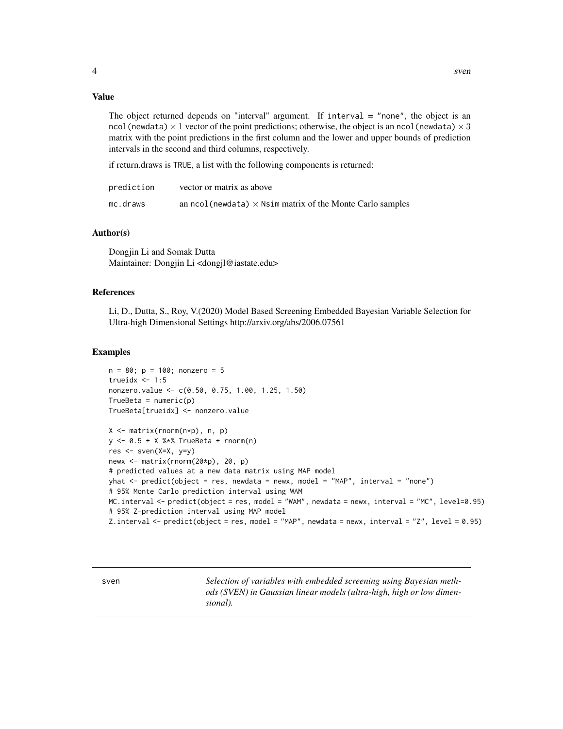#### <span id="page-3-0"></span>Value

The object returned depends on "interval" argument. If interval  $=$  "none", the object is an ncol(newdata)  $\times$  1 vector of the point predictions; otherwise, the object is an ncol(newdata)  $\times$  3 matrix with the point predictions in the first column and the lower and upper bounds of prediction intervals in the second and third columns, respectively.

if return.draws is TRUE, a list with the following components is returned:

| prediction | vector or matrix as above                                         |
|------------|-------------------------------------------------------------------|
| mc.draws   | an ncol (newdata) $\times$ Nsim matrix of the Monte Carlo samples |

#### Author(s)

Dongjin Li and Somak Dutta Maintainer: Dongjin Li <dongjl@iastate.edu>

#### References

Li, D., Dutta, S., Roy, V.(2020) Model Based Screening Embedded Bayesian Variable Selection for Ultra-high Dimensional Settings http://arxiv.org/abs/2006.07561

#### Examples

```
n = 80; p = 100; nonzero = 5
trueidx <-1:5nonzero.value <- c(0.50, 0.75, 1.00, 1.25, 1.50)
TrueBeta = numeric(p)TrueBeta[trueidx] <- nonzero.value
X <- matrix(rnorm(n*p), n, p)
y <- 0.5 + X %*% TrueBeta + rnorm(n)
res <- sven(X=X, y=y)
newx <- matrix(rnorm(20*p), 20, p)
# predicted values at a new data matrix using MAP model
yhat <- predict(object = res, newdata = newx, model = "MAP", interval = "none")
# 95% Monte Carlo prediction interval using WAM
MC.interval <- predict(object = res, model = "WAM", newdata = newx, interval = "MC", level=0.95)
# 95% Z-prediction interval using MAP model
```

```
Z.interval <- predict(object = res, model = "MAP", newdata = newx, interval = "Z", level = 0.95)
```
sven *Selection of variables with embedded screening using Bayesian methods (SVEN) in Gaussian linear models (ultra-high, high or low dimensional).*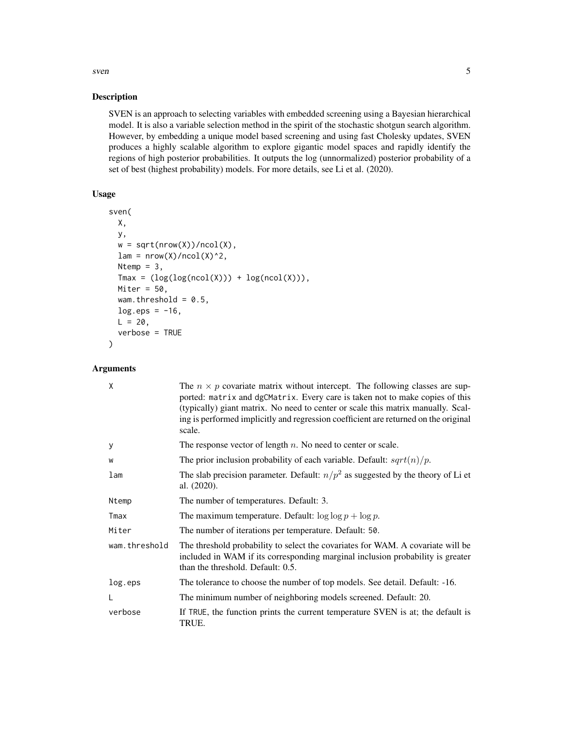#### sven 5

#### Description

SVEN is an approach to selecting variables with embedded screening using a Bayesian hierarchical model. It is also a variable selection method in the spirit of the stochastic shotgun search algorithm. However, by embedding a unique model based screening and using fast Cholesky updates, SVEN produces a highly scalable algorithm to explore gigantic model spaces and rapidly identify the regions of high posterior probabilities. It outputs the log (unnormalized) posterior probability of a set of best (highest probability) models. For more details, see Li et al. (2020).

#### Usage

```
sven(
 X,
 y,
 w = sqrt(nrow(X))/ncol(X),
 lam = nrow(X)/ncol(X)^2,Ntemp = 3,
  Tmax = (log(log(ncol(X))) + log(ncol(X))),Miter = 50,
 wam.threshold = 0.5,
 log.eps = -16,
 L = 20,
  verbose = TRUE
)
```
#### Arguments

| X             | The $n \times p$ covariate matrix without intercept. The following classes are sup-<br>ported: matrix and dgCMatrix. Every care is taken not to make copies of this<br>(typically) giant matrix. No need to center or scale this matrix manually. Scal-<br>ing is performed implicitly and regression coefficient are returned on the original<br>scale. |
|---------------|----------------------------------------------------------------------------------------------------------------------------------------------------------------------------------------------------------------------------------------------------------------------------------------------------------------------------------------------------------|
| У             | The response vector of length $n$ . No need to center or scale.                                                                                                                                                                                                                                                                                          |
| W             | The prior inclusion probability of each variable. Default: $sqrt(n)/p$ .                                                                                                                                                                                                                                                                                 |
| lam           | The slab precision parameter. Default: $n/p^2$ as suggested by the theory of Li et<br>al. $(2020)$ .                                                                                                                                                                                                                                                     |
| Ntemp         | The number of temperatures. Default: 3.                                                                                                                                                                                                                                                                                                                  |
| Tmax          | The maximum temperature. Default: $\log \log p + \log p$ .                                                                                                                                                                                                                                                                                               |
| Miter         | The number of iterations per temperature. Default: 50.                                                                                                                                                                                                                                                                                                   |
| wam.threshold | The threshold probability to select the covariates for WAM. A covariate will be<br>included in WAM if its corresponding marginal inclusion probability is greater<br>than the threshold. Default: 0.5.                                                                                                                                                   |
| log.eps       | The tolerance to choose the number of top models. See detail. Default: -16.                                                                                                                                                                                                                                                                              |
|               | The minimum number of neighboring models screened. Default: 20.                                                                                                                                                                                                                                                                                          |
| verbose       | If TRUE, the function prints the current temperature SVEN is at; the default is<br>TRUE.                                                                                                                                                                                                                                                                 |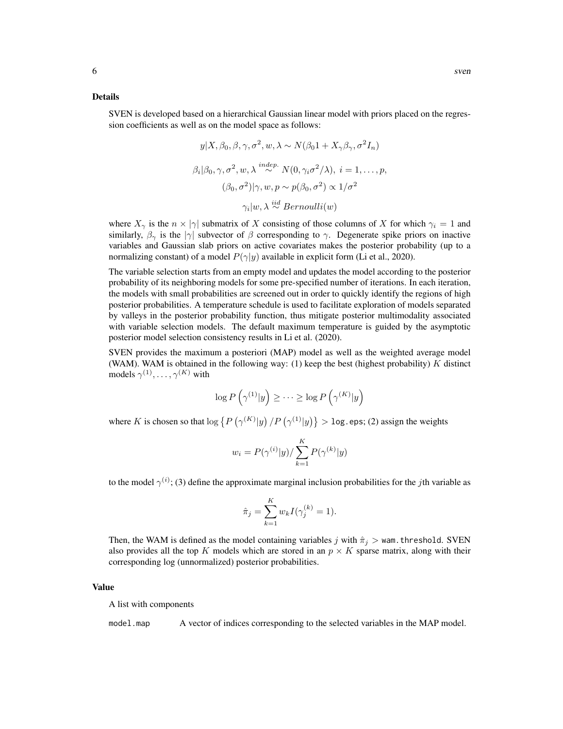#### Details

SVEN is developed based on a hierarchical Gaussian linear model with priors placed on the regression coefficients as well as on the model space as follows:

$$
y|X, \beta_0, \beta, \gamma, \sigma^2, w, \lambda \sim N(\beta_0 1 + X_\gamma \beta_\gamma, \sigma^2 I_n)
$$
  

$$
\beta_i|\beta_0, \gamma, \sigma^2, w, \lambda \stackrel{indep.}{\sim} N(0, \gamma_i \sigma^2/\lambda), i = 1, ..., p,
$$
  

$$
(\beta_0, \sigma^2)|\gamma, w, p \sim p(\beta_0, \sigma^2) \propto 1/\sigma^2
$$
  

$$
\gamma_i|w, \lambda \stackrel{iid}{\sim} Bernoulli(w)
$$

where  $X_{\gamma}$  is the  $n \times |\gamma|$  submatrix of X consisting of those columns of X for which  $\gamma_i = 1$  and similarly,  $\beta_{\gamma}$  is the  $|\gamma|$  subvector of  $\beta$  corresponding to  $\gamma$ . Degenerate spike priors on inactive variables and Gaussian slab priors on active covariates makes the posterior probability (up to a normalizing constant) of a model  $P(\gamma|y)$  available in explicit form (Li et al., 2020).

The variable selection starts from an empty model and updates the model according to the posterior probability of its neighboring models for some pre-specified number of iterations. In each iteration, the models with small probabilities are screened out in order to quickly identify the regions of high posterior probabilities. A temperature schedule is used to facilitate exploration of models separated by valleys in the posterior probability function, thus mitigate posterior multimodality associated with variable selection models. The default maximum temperature is guided by the asymptotic posterior model selection consistency results in Li et al. (2020).

SVEN provides the maximum a posteriori (MAP) model as well as the weighted average model (WAM). WAM is obtained in the following way:  $(1)$  keep the best (highest probability) K distinct models  $\gamma^{(1)}, \ldots, \gamma^{(K)}$  with

$$
\log P\left(\gamma^{(1)}|y\right) \ge \cdots \ge \log P\left(\gamma^{(K)}|y\right)
$$

where K is chosen so that  $\log \left\{ P\left(\gamma^{(K)}|y\right)/P\left(\gamma^{(1)}|y\right) \right\} > \log$  eps; (2) assign the weights

$$
w_i = P(\gamma^{(i)}|y) / \sum_{k=1}^K P(\gamma^{(k)}|y)
$$

to the model  $\gamma^{(i)}$ ; (3) define the approximate marginal inclusion probabilities for the *j*th variable as

$$
\hat{\pi}_j = \sum_{k=1}^K w_k I(\gamma_j^{(k)} = 1).
$$

Then, the WAM is defined as the model containing variables j with  $\hat{\pi}_j$  > wam. threshold. SVEN also provides all the top K models which are stored in an  $p \times K$  sparse matrix, along with their corresponding log (unnormalized) posterior probabilities.

#### Value

A list with components

model.map A vector of indices corresponding to the selected variables in the MAP model.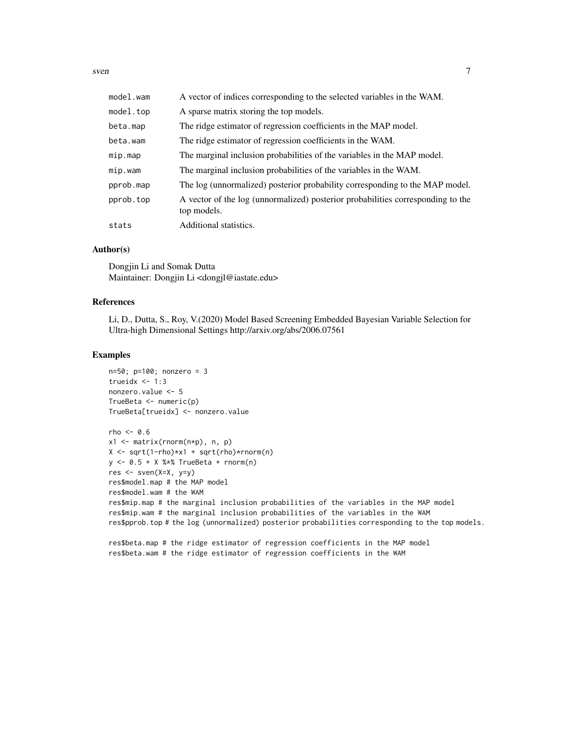sven 7

| model.wam | A vector of indices corresponding to the selected variables in the WAM.                        |
|-----------|------------------------------------------------------------------------------------------------|
| model.top | A sparse matrix storing the top models.                                                        |
| beta.map  | The ridge estimator of regression coefficients in the MAP model.                               |
| beta.wam  | The ridge estimator of regression coefficients in the WAM.                                     |
| mip.map   | The marginal inclusion probabilities of the variables in the MAP model.                        |
| mip.wam   | The marginal inclusion probabilities of the variables in the WAM.                              |
| pprob.map | The log (unnormalized) posterior probability corresponding to the MAP model.                   |
| pprob.top | A vector of the log (unnormalized) posterior probabilities corresponding to the<br>top models. |
| stats     | Additional statistics.                                                                         |

#### Author(s)

Dongjin Li and Somak Dutta Maintainer: Dongjin Li <dongjl@iastate.edu>

#### References

Li, D., Dutta, S., Roy, V.(2020) Model Based Screening Embedded Bayesian Variable Selection for Ultra-high Dimensional Settings http://arxiv.org/abs/2006.07561

#### Examples

n=50; p=100; nonzero = 3 trueid $x < -1:3$ nonzero.value <- 5 TrueBeta <- numeric(p) TrueBeta[trueidx] <- nonzero.value

```
rho < -0.6x1 \leq - matrix(rnorm(n \star p), n, p)
X \leftarrow \text{sqrt}(1-\text{rho}) \times x1 + \text{sqrt}(\text{rho}) \times \text{rnorm}(n)y \le -0.5 + X %*% TrueBeta + rnorm(n)
res <- sven(X=X, y=y)
res$model.map # the MAP model
res$model.wam # the WAM
res$mip.map # the marginal inclusion probabilities of the variables in the MAP model
res$mip.wam # the marginal inclusion probabilities of the variables in the WAM
res$pprob.top # the log (unnormalized) posterior probabilities corresponding to the top models.
```
res\$beta.map # the ridge estimator of regression coefficients in the MAP model res\$beta.wam # the ridge estimator of regression coefficients in the WAM